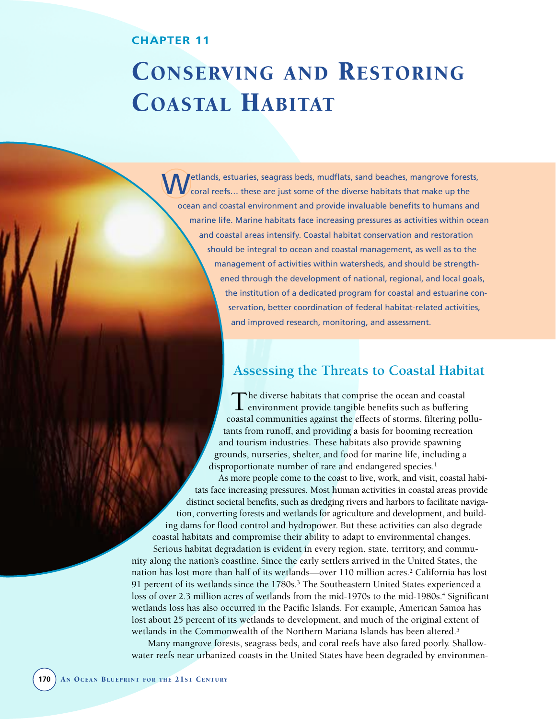## **CHAPTER 11**

# CONSERVING AND RESTORING COASTAL HABITAT

Wetlands, estuaries, seagrass beds, mudflats, sand beaches, mangrove forests, coral reefs… these are just some of the diverse habitats that make up the ocean and coastal environment and provide invaluable benefits to humans and marine life. Marine habitats face increasing pressures as activities within ocean and coastal areas intensify. Coastal habitat conservation and restoration should be integral to ocean and coastal management, as well as to the management of activities within watersheds, and should be strengthened through the development of national, regional, and local goals, the institution of a dedicated program for coastal and estuarine conservation, better coordination of federal habitat-related activities, and improved research, monitoring, and assessment.

# **Assessing the Threats to Coastal Habitat**

The diverse habitats that comprise the ocean and coastal environment provide tangible benefits such as buffering coastal communities against the effects of storms, filtering pollutants from runoff, and providing a basis for booming recreation and tourism industries. These habitats also provide spawning grounds, nurseries, shelter, and food for marine life, including a disproportionate number of rare and endangered species.<sup>1</sup>

As more people come to the coast to live, work, and visit, coastal habitats face increasing pressures. Most human activities in coastal areas provide distinct societal benefits, such as dredging rivers and harbors to facilitate navigation, converting forests and wetlands for agriculture and development, and building dams for flood control and hydropower. But these activities can also degrade coastal habitats and compromise their ability to adapt to environmental changes. Serious habitat degradation is evident in every region, state, territory, and community along the nation's coastline. Since the early settlers arrived in the United States, the nation has lost more than half of its wetlands—over 110 million acres.<sup>2</sup> California has lost 91 percent of its wetlands since the 1780s.<sup>3</sup> The Southeastern United States experienced a loss of over 2.3 million acres of wetlands from the mid-1970s to the mid-1980s.<sup>4</sup> Significant wetlands loss has also occurred in the Pacific Islands. For example, American Samoa has lost about 25 percent of its wetlands to development, and much of the original extent of wetlands in the Commonwealth of the Northern Mariana Islands has been altered.<sup>5</sup>

Many mangrove forests, seagrass beds, and coral reefs have also fared poorly. Shallowwater reefs near urbanized coasts in the United States have been degraded by environmen-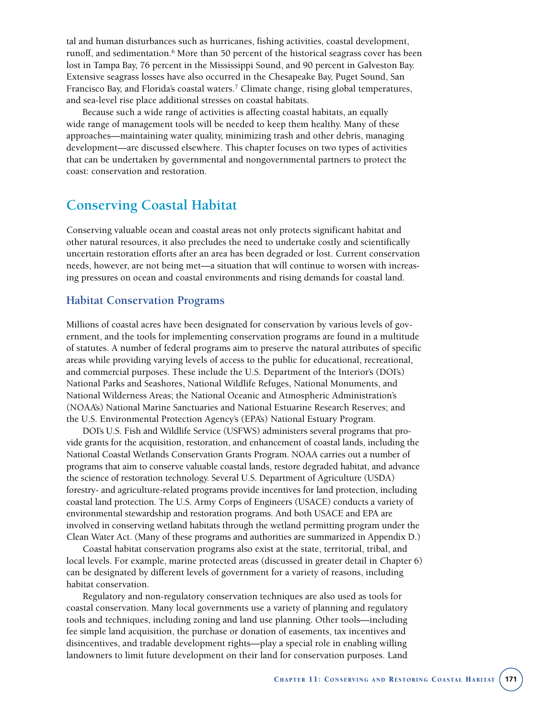tal and human disturbances such as hurricanes, fishing activities, coastal development, runoff, and sedimentation.<sup>6</sup> More than 50 percent of the historical seagrass cover has been lost in Tampa Bay, 76 percent in the Mississippi Sound, and 90 percent in Galveston Bay. Extensive seagrass losses have also occurred in the Chesapeake Bay, Puget Sound, San Francisco Bay, and Florida's coastal waters.<sup>7</sup> Climate change, rising global temperatures, and sea-level rise place additional stresses on coastal habitats.

Because such a wide range of activities is affecting coastal habitats, an equally wide range of management tools will be needed to keep them healthy. Many of these approaches—maintaining water quality, minimizing trash and other debris, managing development—are discussed elsewhere. This chapter focuses on two types of activities that can be undertaken by governmental and nongovernmental partners to protect the coast: conservation and restoration.

# **Conserving Coastal Habitat**

Conserving valuable ocean and coastal areas not only protects significant habitat and other natural resources, it also precludes the need to undertake costly and scientifically uncertain restoration efforts after an area has been degraded or lost. Current conservation needs, however, are not being met—a situation that will continue to worsen with increasing pressures on ocean and coastal environments and rising demands for coastal land.

### **Habitat Conservation Programs**

Millions of coastal acres have been designated for conservation by various levels of government, and the tools for implementing conservation programs are found in a multitude of statutes. A number of federal programs aim to preserve the natural attributes of specific areas while providing varying levels of access to the public for educational, recreational, and commercial purposes. These include the U.S. Department of the Interior's (DOI's) National Parks and Seashores, National Wildlife Refuges, National Monuments, and National Wilderness Areas; the National Oceanic and Atmospheric Administration's (NOAA's) National Marine Sanctuaries and National Estuarine Research Reserves; and the U.S. Environmental Protection Agency's (EPA's) National Estuary Program.

DOI's U.S. Fish and Wildlife Service (USFWS) administers several programs that provide grants for the acquisition, restoration, and enhancement of coastal lands, including the National Coastal Wetlands Conservation Grants Program. NOAA carries out a number of programs that aim to conserve valuable coastal lands, restore degraded habitat, and advance the science of restoration technology. Several U.S. Department of Agriculture (USDA) forestry- and agriculture-related programs provide incentives for land protection, including coastal land protection. The U.S. Army Corps of Engineers (USACE) conducts a variety of environmental stewardship and restoration programs. And both USACE and EPA are involved in conserving wetland habitats through the wetland permitting program under the Clean Water Act. (Many of these programs and authorities are summarized in Appendix D.)

Coastal habitat conservation programs also exist at the state, territorial, tribal, and local levels. For example, marine protected areas (discussed in greater detail in Chapter 6) can be designated by different levels of government for a variety of reasons, including habitat conservation.

Regulatory and non-regulatory conservation techniques are also used as tools for coastal conservation. Many local governments use a variety of planning and regulatory tools and techniques, including zoning and land use planning. Other tools—including fee simple land acquisition, the purchase or donation of easements, tax incentives and disincentives, and tradable development rights—play a special role in enabling willing landowners to limit future development on their land for conservation purposes. Land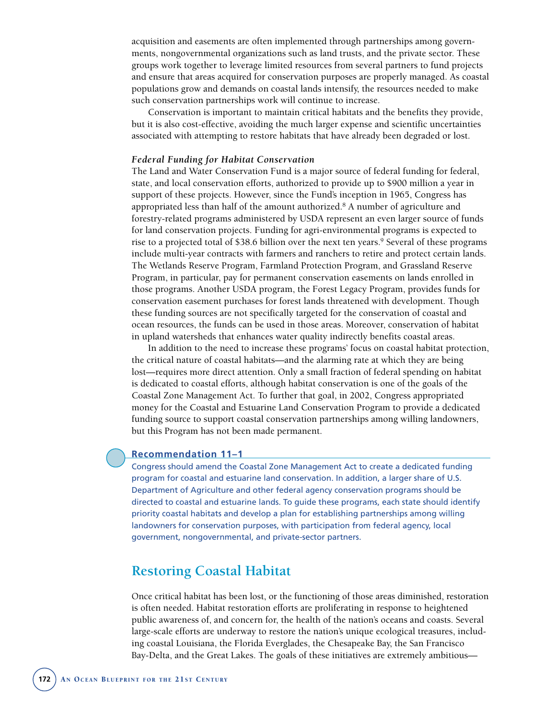acquisition and easements are often implemented through partnerships among governments, nongovernmental organizations such as land trusts, and the private sector. These groups work together to leverage limited resources from several partners to fund projects and ensure that areas acquired for conservation purposes are properly managed. As coastal populations grow and demands on coastal lands intensify, the resources needed to make such conservation partnerships work will continue to increase.

Conservation is important to maintain critical habitats and the benefits they provide, but it is also cost-effective, avoiding the much larger expense and scientific uncertainties associated with attempting to restore habitats that have already been degraded or lost.

#### *Federal Funding for Habitat Conservation*

The Land and Water Conservation Fund is a major source of federal funding for federal, state, and local conservation efforts, authorized to provide up to \$900 million a year in support of these projects. However, since the Fund's inception in 1965, Congress has appropriated less than half of the amount authorized.8 A number of agriculture and forestry-related programs administered by USDA represent an even larger source of funds for land conservation projects. Funding for agri-environmental programs is expected to rise to a projected total of \$38.6 billion over the next ten years.9 Several of these programs include multi-year contracts with farmers and ranchers to retire and protect certain lands. The Wetlands Reserve Program, Farmland Protection Program, and Grassland Reserve Program, in particular, pay for permanent conservation easements on lands enrolled in those programs. Another USDA program, the Forest Legacy Program, provides funds for conservation easement purchases for forest lands threatened with development. Though these funding sources are not specifically targeted for the conservation of coastal and ocean resources, the funds can be used in those areas. Moreover, conservation of habitat in upland watersheds that enhances water quality indirectly benefits coastal areas.

In addition to the need to increase these programs' focus on coastal habitat protection, the critical nature of coastal habitats—and the alarming rate at which they are being lost—requires more direct attention. Only a small fraction of federal spending on habitat is dedicated to coastal efforts, although habitat conservation is one of the goals of the Coastal Zone Management Act. To further that goal, in 2002, Congress appropriated money for the Coastal and Estuarine Land Conservation Program to provide a dedicated funding source to support coastal conservation partnerships among willing landowners, but this Program has not been made permanent.

#### **Recommendation 11–1**

Congress should amend the Coastal Zone Management Act to create a dedicated funding program for coastal and estuarine land conservation. In addition, a larger share of U.S. Department of Agriculture and other federal agency conservation programs should be directed to coastal and estuarine lands. To guide these programs, each state should identify priority coastal habitats and develop a plan for establishing partnerships among willing landowners for conservation purposes, with participation from federal agency, local government, nongovernmental, and private-sector partners.

## **Restoring Coastal Habitat**

Once critical habitat has been lost, or the functioning of those areas diminished, restoration is often needed. Habitat restoration efforts are proliferating in response to heightened public awareness of, and concern for, the health of the nation's oceans and coasts. Several large-scale efforts are underway to restore the nation's unique ecological treasures, including coastal Louisiana, the Florida Everglades, the Chesapeake Bay, the San Francisco Bay-Delta, and the Great Lakes. The goals of these initiatives are extremely ambitious—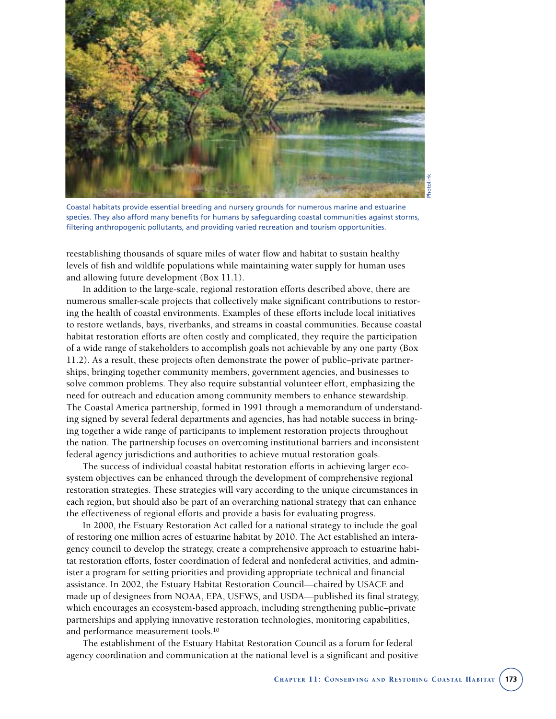

Coastal habitats provide essential breeding and nursery grounds for numerous marine and estuarine species. They also afford many benefits for humans by safeguarding coastal communities against storms, filtering anthropogenic pollutants, and providing varied recreation and tourism opportunities.

reestablishing thousands of square miles of water flow and habitat to sustain healthy levels of fish and wildlife populations while maintaining water supply for human uses and allowing future development (Box 11.1).

In addition to the large-scale, regional restoration efforts described above, there are numerous smaller-scale projects that collectively make significant contributions to restoring the health of coastal environments. Examples of these efforts include local initiatives to restore wetlands, bays, riverbanks, and streams in coastal communities. Because coastal habitat restoration efforts are often costly and complicated, they require the participation of a wide range of stakeholders to accomplish goals not achievable by any one party (Box 11.2). As a result, these projects often demonstrate the power of public–private partnerships, bringing together community members, government agencies, and businesses to solve common problems. They also require substantial volunteer effort, emphasizing the need for outreach and education among community members to enhance stewardship. The Coastal America partnership, formed in 1991 through a memorandum of understanding signed by several federal departments and agencies, has had notable success in bringing together a wide range of participants to implement restoration projects throughout the nation. The partnership focuses on overcoming institutional barriers and inconsistent federal agency jurisdictions and authorities to achieve mutual restoration goals.

The success of individual coastal habitat restoration efforts in achieving larger ecosystem objectives can be enhanced through the development of comprehensive regional restoration strategies. These strategies will vary according to the unique circumstances in each region, but should also be part of an overarching national strategy that can enhance the effectiveness of regional efforts and provide a basis for evaluating progress.

In 2000, the Estuary Restoration Act called for a national strategy to include the goal of restoring one million acres of estuarine habitat by 2010. The Act established an interagency council to develop the strategy, create a comprehensive approach to estuarine habitat restoration efforts, foster coordination of federal and nonfederal activities, and administer a program for setting priorities and providing appropriate technical and financial assistance. In 2002, the Estuary Habitat Restoration Council—chaired by USACE and made up of designees from NOAA, EPA, USFWS, and USDA—published its final strategy, which encourages an ecosystem-based approach, including strengthening public–private partnerships and applying innovative restoration technologies, monitoring capabilities, and performance measurement tools.10

The establishment of the Estuary Habitat Restoration Council as a forum for federal agency coordination and communication at the national level is a significant and positive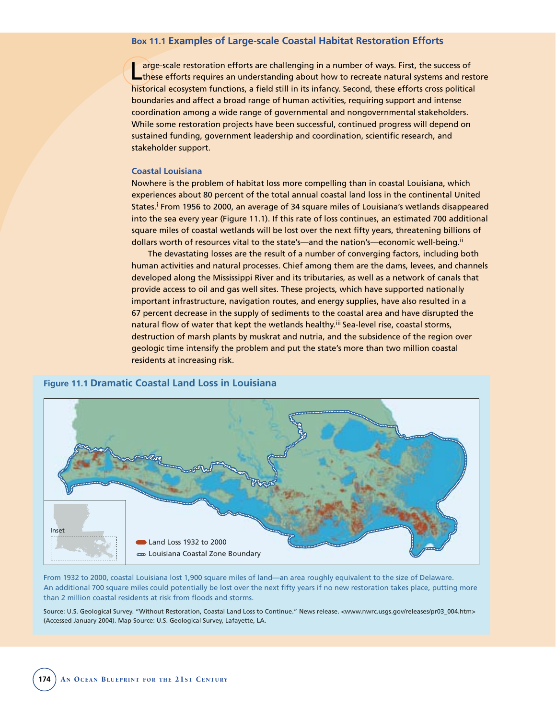#### **Box 11.1 Examples of Large-scale Coastal Habitat Restoration Efforts**

arge-scale restoration efforts are challenging in a number of ways. First, the success of these efforts requires an understanding about how to recreate natural systems and restore historical ecosystem functions, a field still in its infancy. Second, these efforts cross political boundaries and affect a broad range of human activities, requiring support and intense coordination among a wide range of governmental and nongovernmental stakeholders. While some restoration projects have been successful, continued progress will depend on sustained funding, government leadership and coordination, scientific research, and stakeholder support.

#### **Coastal Louisiana**

Nowhere is the problem of habitat loss more compelling than in coastal Louisiana, which experiences about 80 percent of the total annual coastal land loss in the continental United States.i From 1956 to 2000, an average of 34 square miles of Louisiana's wetlands disappeared into the sea every year (Figure 11.1). If this rate of loss continues, an estimated 700 additional square miles of coastal wetlands will be lost over the next fifty years, threatening billions of dollars worth of resources vital to the state's—and the nation's—economic well-being.<sup>ii</sup>

The devastating losses are the result of a number of converging factors, including both human activities and natural processes. Chief among them are the dams, levees, and channels developed along the Mississippi River and its tributaries, as well as a network of canals that provide access to oil and gas well sites. These projects, which have supported nationally important infrastructure, navigation routes, and energy supplies, have also resulted in a 67 percent decrease in the supply of sediments to the coastal area and have disrupted the natural flow of water that kept the wetlands healthy.<sup>iii</sup> Sea-level rise, coastal storms, destruction of marsh plants by muskrat and nutria, and the subsidence of the region over geologic time intensify the problem and put the state's more than two million coastal residents at increasing risk.





From 1932 to 2000, coastal Louisiana lost 1,900 square miles of land—an area roughly equivalent to the size of Delaware. An additional 700 square miles could potentially be lost over the next fifty years if no new restoration takes place, putting more than 2 million coastal residents at risk from floods and storms.

Source: U.S. Geological Survey. "Without Restoration, Coastal Land Loss to Continue." News release. <www.nwrc.usgs.gov/releases/pr03\_004.htm> (Accessed January 2004). Map Source: U.S. Geological Survey, Lafayette, LA.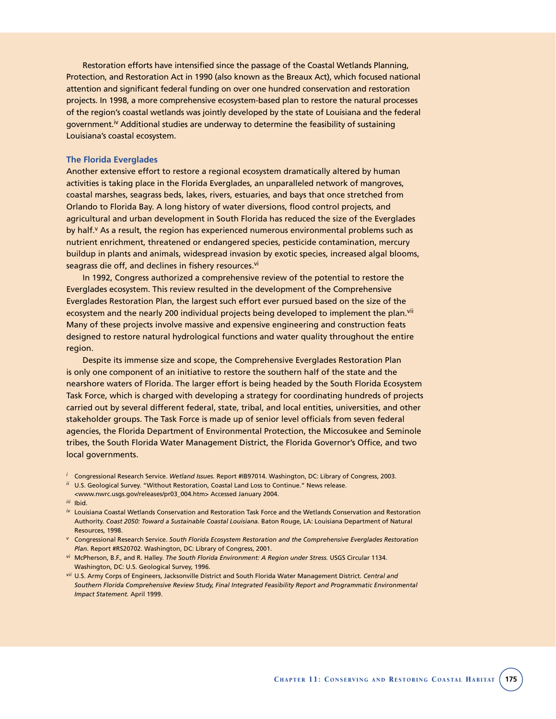Restoration efforts have intensified since the passage of the Coastal Wetlands Planning, Protection, and Restoration Act in 1990 (also known as the Breaux Act), which focused national attention and significant federal funding on over one hundred conservation and restoration projects. In 1998, a more comprehensive ecosystem-based plan to restore the natural processes of the region's coastal wetlands was jointly developed by the state of Louisiana and the federal government.<sup>iv</sup> Additional studies are underway to determine the feasibility of sustaining Louisiana's coastal ecosystem.

#### **The Florida Everglades**

Another extensive effort to restore a regional ecosystem dramatically altered by human activities is taking place in the Florida Everglades, an unparalleled network of mangroves, coastal marshes, seagrass beds, lakes, rivers, estuaries, and bays that once stretched from Orlando to Florida Bay. A long history of water diversions, flood control projects, and agricultural and urban development in South Florida has reduced the size of the Everglades by half.<sup>v</sup> As a result, the region has experienced numerous environmental problems such as nutrient enrichment, threatened or endangered species, pesticide contamination, mercury buildup in plants and animals, widespread invasion by exotic species, increased algal blooms, seagrass die off, and declines in fishery resources.<sup>vi</sup>

In 1992, Congress authorized a comprehensive review of the potential to restore the Everglades ecosystem. This review resulted in the development of the Comprehensive Everglades Restoration Plan, the largest such effort ever pursued based on the size of the ecosystem and the nearly 200 individual projects being developed to implement the plan.<sup>vii</sup> Many of these projects involve massive and expensive engineering and construction feats designed to restore natural hydrological functions and water quality throughout the entire region.

Despite its immense size and scope, the Comprehensive Everglades Restoration Plan is only one component of an initiative to restore the southern half of the state and the nearshore waters of Florida. The larger effort is being headed by the South Florida Ecosystem Task Force, which is charged with developing a strategy for coordinating hundreds of projects carried out by several different federal, state, tribal, and local entities, universities, and other stakeholder groups. The Task Force is made up of senior level officials from seven federal agencies, the Florida Department of Environmental Protection, the Miccosukee and Seminole tribes, the South Florida Water Management District, the Florida Governor's Office, and two local governments.

- *ii* U.S. Geological Survey. "Without Restoration, Coastal Land Loss to Continue." News release.
- <www.nwrc.usgs.gov/releases/pr03\_004.htm> Accessed January 2004.
- *iii* Ibid.
- *iv* Louisiana Coastal Wetlands Conservation and Restoration Task Force and the Wetlands Conservation and Restoration Authority. *Coast 2050: Toward a Sustainable Coastal Louisiana.* Baton Rouge, LA: Louisiana Department of Natural Resources, 1998.
- *<sup>v</sup>* Congressional Research Service. *South Florida Ecosystem Restoration and the Comprehensive Everglades Restoration Plan.* Report #RS20702. Washington, DC: Library of Congress, 2001.
- *vi* McPherson, B.F., and R. Halley. *The South Florida Environment: A Region under Stress.* USGS Circular 1134. Washington, DC: U.S. Geological Survey, 1996.
- *vii* U.S. Army Corps of Engineers, Jacksonville District and South Florida Water Management District. *Central and Southern Florida Comprehensive Review Study, Final Integrated Feasibility Report and Programmatic Environmental Impact Statement.* April 1999.

*<sup>i</sup>* Congressional Research Service. *Wetland Issues.* Report #IB97014. Washington, DC: Library of Congress, 2003.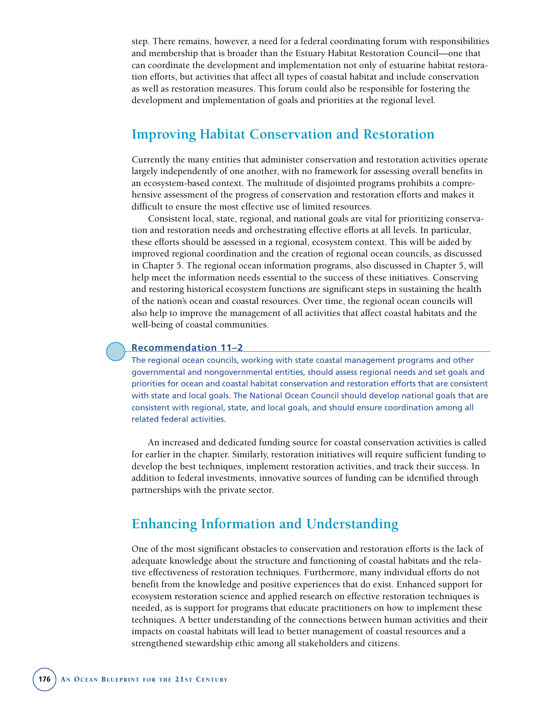step. There remains, however, a need for a federal coordinating forum with responsibilities and membership that is broader than the Estuary Habitat Restoration Council—one that can coordinate the development and implementation not only of estuarine habitat restoration efforts, but activities that affect all types of coastal habitat and include conservation as well as restoration measures. This forum could also be responsible for fostering the development and implementation of goals and priorities at the regional level.

## **Improving Habitat Conservation and Restoration**

Currently the many entities that administer conservation and restoration activities operate largely independently of one another, with no framework for assessing overall benefits in an ecosystem-based context. The multitude of disjointed programs prohibits a comprehensive assessment of the progress of conservation and restoration efforts and makes it difficult to ensure the most effective use of limited resources.

Consistent local, state, regional, and national goals are vital for prioritizing conservation and restoration needs and orchestrating effective efforts at all levels. In particular, these efforts should be assessed in a regional, ecosystem context. This will be aided by improved regional coordination and the creation of regional ocean councils, as discussed in Chapter 5. The regional ocean information programs, also discussed in Chapter 5, will help meet the information needs essential to the success of these initiatives. Conserving and restoring historical ecosystem functions are significant steps in sustaining the health of the nation's ocean and coastal resources. Over time, the regional ocean councils will also help to improve the management of all activities that affect coastal habitats and the well-being of coastal communities.

#### **Recommendation 11–2**

The regional ocean councils, working with state coastal management programs and other governmental and nongovernmental entities, should assess regional needs and set goals and priorities for ocean and coastal habitat conservation and restoration efforts that are consistent with state and local goals. The National Ocean Council should develop national goals that are consistent with regional, state, and local goals, and should ensure coordination among all related federal activities.

An increased and dedicated funding source for coastal conservation activities is called for earlier in the chapter. Similarly, restoration initiatives will require sufficient funding to develop the best techniques, implement restoration activities, and track their success. In addition to federal investments, innovative sources of funding can be identified through partnerships with the private sector.

# **Enhancing Information and Understanding**

One of the most significant obstacles to conservation and restoration efforts is the lack of adequate knowledge about the structure and functioning of coastal habitats and the relative effectiveness of restoration techniques. Furthermore, many individual efforts do not benefit from the knowledge and positive experiences that do exist. Enhanced support for ecosystem restoration science and applied research on effective restoration techniques is needed, as is support for programs that educate practitioners on how to implement these techniques. A better understanding of the connections between human activities and their impacts on coastal habitats will lead to better management of coastal resources and a strengthened stewardship ethic among all stakeholders and citizens.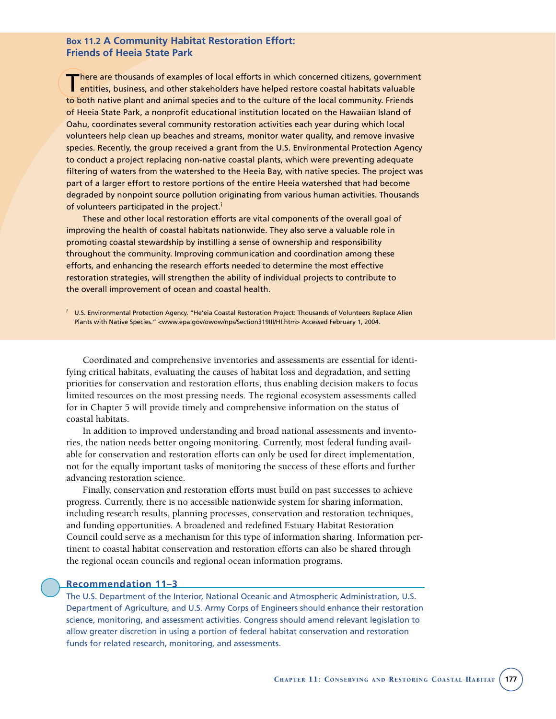#### **Box 11.2 A Community Habitat Restoration Effort: Friends of Heeia State Park**

There are thousands of examples of local efforts in which concerned citizens, government<br>entities, business, and other stakeholders have helped restore coastal habitats valuable to both native plant and animal species and to the culture of the local community. Friends of Heeia State Park, a nonprofit educational institution located on the Hawaiian Island of Oahu, coordinates several community restoration activities each year during which local volunteers help clean up beaches and streams, monitor water quality, and remove invasive species. Recently, the group received a grant from the U.S. Environmental Protection Agency to conduct a project replacing non-native coastal plants, which were preventing adequate filtering of waters from the watershed to the Heeia Bay, with native species. The project was part of a larger effort to restore portions of the entire Heeia watershed that had become degraded by nonpoint source pollution originating from various human activities. Thousands of volunteers participated in the project.<sup>i</sup>

These and other local restoration efforts are vital components of the overall goal of improving the health of coastal habitats nationwide. They also serve a valuable role in promoting coastal stewardship by instilling a sense of ownership and responsibility throughout the community. Improving communication and coordination among these efforts, and enhancing the research efforts needed to determine the most effective restoration strategies, will strengthen the ability of individual projects to contribute to the overall improvement of ocean and coastal health.

*<sup>i</sup>* U.S. Environmental Protection Agency. "He'eia Coastal Restoration Project: Thousands of Volunteers Replace Alien Plants with Native Species." <www.epa.gov/owow/nps/Section319III/HI.htm> Accessed February 1, 2004.

Coordinated and comprehensive inventories and assessments are essential for identifying critical habitats, evaluating the causes of habitat loss and degradation, and setting priorities for conservation and restoration efforts, thus enabling decision makers to focus limited resources on the most pressing needs. The regional ecosystem assessments called for in Chapter 5 will provide timely and comprehensive information on the status of coastal habitats.

In addition to improved understanding and broad national assessments and inventories, the nation needs better ongoing monitoring. Currently, most federal funding available for conservation and restoration efforts can only be used for direct implementation, not for the equally important tasks of monitoring the success of these efforts and further advancing restoration science.

Finally, conservation and restoration efforts must build on past successes to achieve progress. Currently, there is no accessible nationwide system for sharing information, including research results, planning processes, conservation and restoration techniques, and funding opportunities. A broadened and redefined Estuary Habitat Restoration Council could serve as a mechanism for this type of information sharing. Information pertinent to coastal habitat conservation and restoration efforts can also be shared through the regional ocean councils and regional ocean information programs.

#### **Recommendation 11–3**

The U.S. Department of the Interior, National Oceanic and Atmospheric Administration, U.S. Department of Agriculture, and U.S. Army Corps of Engineers should enhance their restoration science, monitoring, and assessment activities. Congress should amend relevant legislation to allow greater discretion in using a portion of federal habitat conservation and restoration funds for related research, monitoring, and assessments.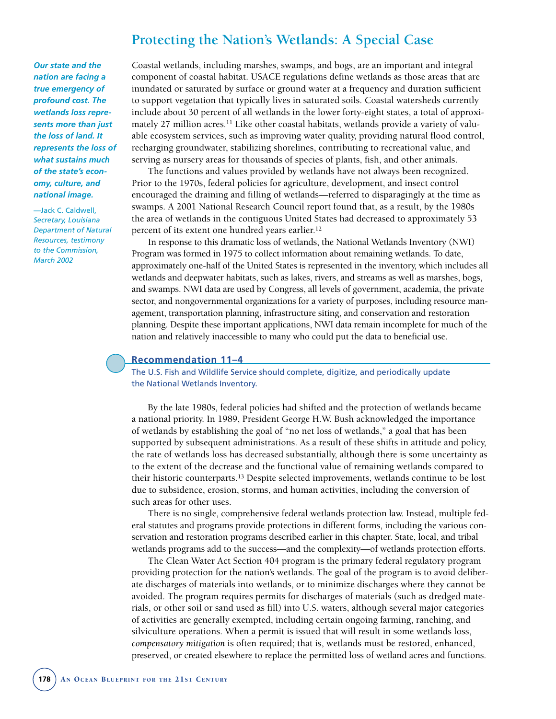# **Protecting the Nation's Wetlands: A Special Case**

*Our state and the nation are facing a true emergency of profound cost. The wetlands loss represents more than just the loss of land. It represents the loss of what sustains much of the state's economy, culture, and national image.*

—Jack C. Caldwell, *Secretary, Louisiana Department of Natural Resources, testimony to the Commission, March 2002*

Coastal wetlands, including marshes, swamps, and bogs, are an important and integral component of coastal habitat. USACE regulations define wetlands as those areas that are inundated or saturated by surface or ground water at a frequency and duration sufficient to support vegetation that typically lives in saturated soils. Coastal watersheds currently include about 30 percent of all wetlands in the lower forty-eight states, a total of approximately 27 million acres.<sup>11</sup> Like other coastal habitats, wetlands provide a variety of valuable ecosystem services, such as improving water quality, providing natural flood control, recharging groundwater, stabilizing shorelines, contributing to recreational value, and serving as nursery areas for thousands of species of plants, fish, and other animals.

The functions and values provided by wetlands have not always been recognized. Prior to the 1970s, federal policies for agriculture, development, and insect control encouraged the draining and filling of wetlands—referred to disparagingly at the time as swamps. A 2001 National Research Council report found that, as a result, by the 1980s the area of wetlands in the contiguous United States had decreased to approximately 53 percent of its extent one hundred years earlier.12

In response to this dramatic loss of wetlands, the National Wetlands Inventory (NWI) Program was formed in 1975 to collect information about remaining wetlands. To date, approximately one-half of the United States is represented in the inventory, which includes all wetlands and deepwater habitats, such as lakes, rivers, and streams as well as marshes, bogs, and swamps. NWI data are used by Congress, all levels of government, academia, the private sector, and nongovernmental organizations for a variety of purposes, including resource management, transportation planning, infrastructure siting, and conservation and restoration planning. Despite these important applications, NWI data remain incomplete for much of the nation and relatively inaccessible to many who could put the data to beneficial use.

#### **Recommendation 11–4**

The U.S. Fish and Wildlife Service should complete, digitize, and periodically update the National Wetlands Inventory.

By the late 1980s, federal policies had shifted and the protection of wetlands became a national priority. In 1989, President George H.W. Bush acknowledged the importance of wetlands by establishing the goal of "no net loss of wetlands," a goal that has been supported by subsequent administrations. As a result of these shifts in attitude and policy, the rate of wetlands loss has decreased substantially, although there is some uncertainty as to the extent of the decrease and the functional value of remaining wetlands compared to their historic counterparts.13 Despite selected improvements, wetlands continue to be lost due to subsidence, erosion, storms, and human activities, including the conversion of such areas for other uses.

There is no single, comprehensive federal wetlands protection law. Instead, multiple federal statutes and programs provide protections in different forms, including the various conservation and restoration programs described earlier in this chapter. State, local, and tribal wetlands programs add to the success—and the complexity—of wetlands protection efforts.

The Clean Water Act Section 404 program is the primary federal regulatory program providing protection for the nation's wetlands. The goal of the program is to avoid deliberate discharges of materials into wetlands, or to minimize discharges where they cannot be avoided. The program requires permits for discharges of materials (such as dredged materials, or other soil or sand used as fill) into U.S. waters, although several major categories of activities are generally exempted, including certain ongoing farming, ranching, and silviculture operations. When a permit is issued that will result in some wetlands loss, *compensatory mitigation* is often required; that is, wetlands must be restored, enhanced, preserved, or created elsewhere to replace the permitted loss of wetland acres and functions.